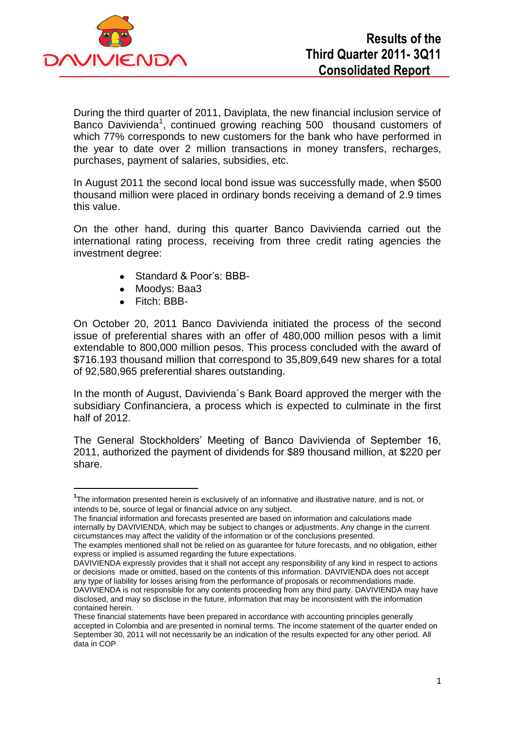

During the third quarter of 2011, Daviplata, the new financial inclusion service of Banco Davivienda<sup>1</sup>, continued growing reaching 500 thousand customers of which 77% corresponds to new customers for the bank who have performed in the year to date over 2 million transactions in money transfers, recharges, purchases, payment of salaries, subsidies, etc.

In August 2011 the second local bond issue was successfully made, when \$500 thousand million were placed in ordinary bonds receiving a demand of 2.9 times this value.

On the other hand, during this quarter Banco Davivienda carried out the international rating process, receiving from three credit rating agencies the investment degree:

- Standard & Poor's: BBB- $\bullet$
- Moodys: Baa3
- Fitch: BBB-

**.** 

On October 20, 2011 Banco Davivienda initiated the process of the second issue of preferential shares with an offer of 480,000 million pesos with a limit extendable to 800,000 million pesos. This process concluded with the award of \$716.193 thousand million that correspond to 35,809,649 new shares for a total of 92,580,965 preferential shares outstanding.

In the month of August, Davivienda´s Bank Board approved the merger with the subsidiary Confinanciera, a process which is expected to culminate in the first half of 2012.

The General Stockholders' Meeting of Banco Davivienda of September 16, 2011, authorized the payment of dividends for \$89 thousand million, at \$220 per share.

The financial information and forecasts presented are based on information and calculations made internally by DAVIVIENDA, which may be subject to changes or adjustments. Any change in the current circumstances may affect the validity of the information or of the conclusions presented.

DAVIVIENDA expressly provides that it shall not accept any responsibility of any kind in respect to actions or decisions made or omitted, based on the contents of this information. DAVIVIENDA does not accept any type of liability for losses arising from the performance of proposals or recommendations made. DAVIVIENDA is not responsible for any contents proceeding from any third party. DAVIVIENDA may have disclosed, and may so disclose in the future, information that may be inconsistent with the information contained herein.

**<sup>1</sup>** The information presented herein is exclusively of an informative and illustrative nature, and is not, or intends to be, source of legal or financial advice on any subject.

The examples mentioned shall not be relied on as guarantee for future forecasts, and no obligation, either express or implied is assumed regarding the future expectations.

These financial statements have been prepared in accordance with accounting principles generally accepted in Colombia and are presented in nominal terms. The income statement of the quarter ended on September 30, 2011 will not necessarily be an indication of the results expected for any other period. All data in COP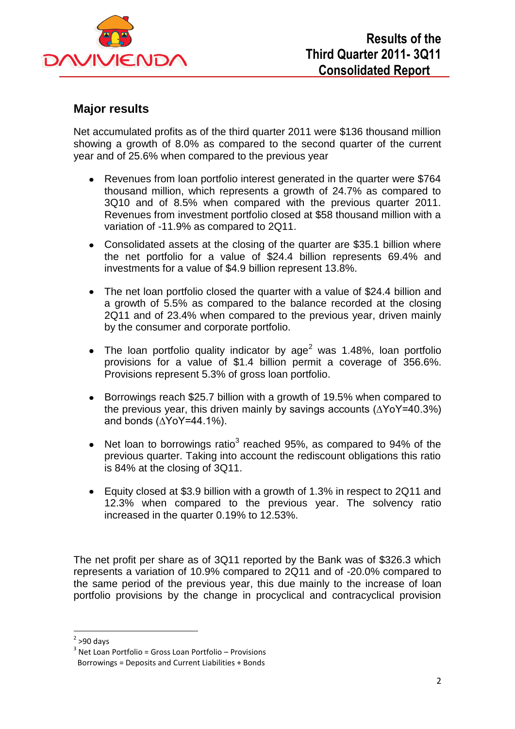

# **Major results**

Net accumulated profits as of the third quarter 2011 were \$136 thousand million showing a growth of 8.0% as compared to the second quarter of the current year and of 25.6% when compared to the previous year

- Revenues from loan portfolio interest generated in the quarter were \$764 thousand million, which represents a growth of 24.7% as compared to 3Q10 and of 8.5% when compared with the previous quarter 2011. Revenues from investment portfolio closed at \$58 thousand million with a variation of -11.9% as compared to 2Q11.
- Consolidated assets at the closing of the quarter are \$35.1 billion where the net portfolio for a value of \$24.4 billion represents 69.4% and investments for a value of \$4.9 billion represent 13.8%.
- The net loan portfolio closed the quarter with a value of \$24.4 billion and a growth of 5.5% as compared to the balance recorded at the closing 2Q11 and of 23.4% when compared to the previous year, driven mainly by the consumer and corporate portfolio.
- The loan portfolio quality indicator by  $age<sup>2</sup>$  was 1.48%, loan portfolio provisions for a value of \$1.4 billion permit a coverage of 356.6%. Provisions represent 5.3% of gross loan portfolio.
- Borrowings reach \$25.7 billion with a growth of 19.5% when compared to the previous year, this driven mainly by savings accounts (∆YoY=40.3%) and bonds (∆YoY=44.1%).
- Net loan to borrowings ratio<sup>3</sup> reached 95%, as compared to 94% of the  $\bullet$ previous quarter. Taking into account the rediscount obligations this ratio is 84% at the closing of 3Q11.
- Equity closed at \$3.9 billion with a growth of 1.3% in respect to 2Q11 and 12.3% when compared to the previous year. The solvency ratio increased in the quarter 0.19% to 12.53%.

The net profit per share as of 3Q11 reported by the Bank was of \$326.3 which represents a variation of 10.9% compared to 2Q11 and of -20.0% compared to the same period of the previous year, this due mainly to the increase of loan portfolio provisions by the change in procyclical and contracyclical provision

**.** 

 $2$  >90 days

<sup>&</sup>lt;sup>3</sup> Net Loan Portfolio = Gross Loan Portfolio – Provisions Borrowings = Deposits and Current Liabilities + Bonds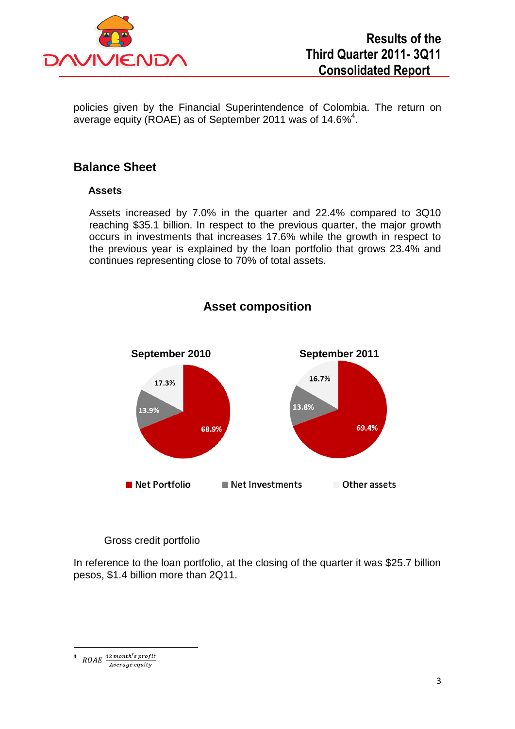

policies given by the Financial Superintendence of Colombia. The return on average equity (ROAE) as of September 2011 was of 14.6%<sup>4</sup>.

# **Balance Sheet**

### **Assets**

Assets increased by 7.0% in the quarter and 22.4% compared to 3Q10 reaching \$35.1 billion. In respect to the previous quarter, the major growth occurs in investments that increases 17.6% while the growth in respect to the previous year is explained by the loan portfolio that grows 23.4% and continues representing close to 70% of total assets.



# **Asset composition**

Gross credit portfolio

In reference to the loan portfolio, at the closing of the quarter it was \$25.7 billion pesos, \$1.4 billion more than 2Q11.

**.** 4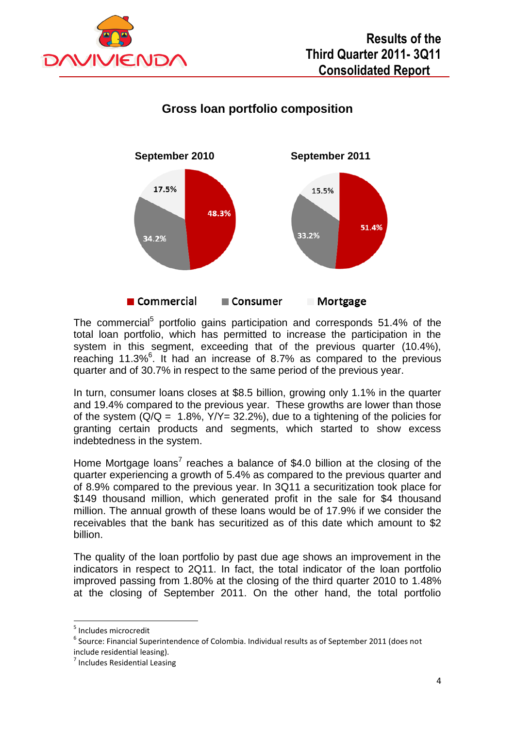

# **Gross loan portfolio composition**



The commercial<sup>5</sup> portfolio gains participation and corresponds 51.4% of the total loan portfolio, which has permitted to increase the participation in the system in this segment, exceeding that of the previous quarter (10.4%), reaching 11.3%<sup>6</sup>. It had an increase of 8.7% as compared to the previous quarter and of 30.7% in respect to the same period of the previous year.

In turn, consumer loans closes at \$8.5 billion, growing only 1.1% in the quarter and 19.4% compared to the previous year. These growths are lower than those of the system  $(Q/Q = 1.8\%, Y/Y = 32.2\%)$ , due to a tightening of the policies for granting certain products and segments, which started to show excess indebtedness in the system.

Home Mortgage loans<sup>7</sup> reaches a balance of \$4.0 billion at the closing of the quarter experiencing a growth of 5.4% as compared to the previous quarter and of 8.9% compared to the previous year. In 3Q11 a securitization took place for \$149 thousand million, which generated profit in the sale for \$4 thousand million. The annual growth of these loans would be of 17.9% if we consider the receivables that the bank has securitized as of this date which amount to \$2 billion.

The quality of the loan portfolio by past due age shows an improvement in the indicators in respect to 2Q11. In fact, the total indicator of the loan portfolio improved passing from 1.80% at the closing of the third quarter 2010 to 1.48% at the closing of September 2011. On the other hand, the total portfolio

 5 Includes microcredit

 $^6$  Source: Financial Superintendence of Colombia. Individual results as of September 2011 (does not include residential leasing).

<sup>&</sup>lt;sup>7</sup> Includes Residential Leasing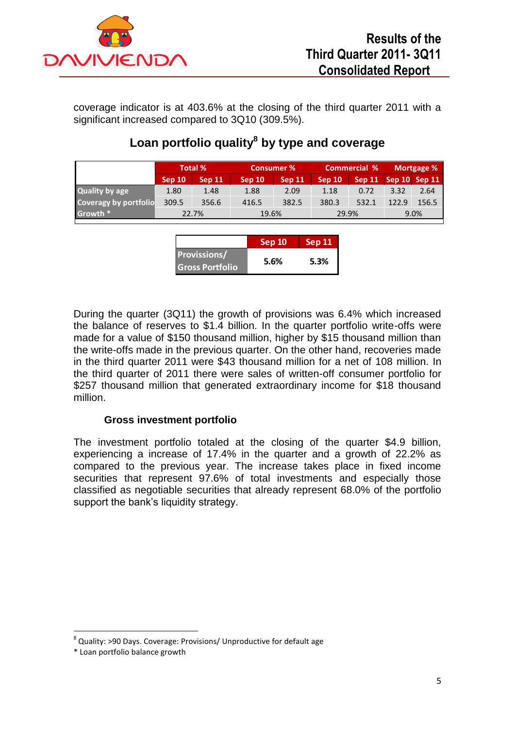

coverage indicator is at 403.6% at the closing of the third quarter 2011 with a significant increased compared to 3Q10 (309.5%).

|                              | <b>Total %</b> |        | <b>Consumer %</b> |        | <b>Commercial %</b> |        | Mortgage %      |       |
|------------------------------|----------------|--------|-------------------|--------|---------------------|--------|-----------------|-------|
|                              | Sep 10         | Sep 11 | <b>Sep 10</b>     | Sep 11 | Sep 10              | Sep 11 | $Sep 10$ Sep 11 |       |
| Quality by age               | 1.80           | 1.48   | 1.88              | 2.09   | 1.18                | 0.72   | 3.32            | 2.64  |
| <b>Coveragy by portfolio</b> | 309.5          | 356.6  | 416.5             | 382.5  | 380.3               | 532.1  | 122.9           | 156.5 |
| Growth *                     | 22.7%          |        | 19.6%             |        | 29.9%               |        | 9.0%            |       |

# **Loan portfolio quality<sup>8</sup> by type and coverage**

|                        | Sep 10 | <b>Sep 11</b> |  |
|------------------------|--------|---------------|--|
| <b>Provissions/</b>    |        | 5.3%          |  |
| <b>Gross Portfolio</b> | 5.6%   |               |  |

During the quarter (3Q11) the growth of provisions was 6.4% which increased the balance of reserves to \$1.4 billion. In the quarter portfolio write-offs were made for a value of \$150 thousand million, higher by \$15 thousand million than the write-offs made in the previous quarter. On the other hand, recoveries made in the third quarter 2011 were \$43 thousand million for a net of 108 million. In the third quarter of 2011 there were sales of written-off consumer portfolio for \$257 thousand million that generated extraordinary income for \$18 thousand million.

# **Gross investment portfolio**

The investment portfolio totaled at the closing of the quarter \$4.9 billion, experiencing a increase of 17.4% in the quarter and a growth of 22.2% as compared to the previous year. The increase takes place in fixed income securities that represent 97.6% of total investments and especially those classified as negotiable securities that already represent 68.0% of the portfolio support the bank's liquidity strategy.

**.** 

<sup>&</sup>lt;sup>8</sup> Quality: >90 Days. Coverage: Provisions/ Unproductive for default age

<sup>\*</sup> Loan portfolio balance growth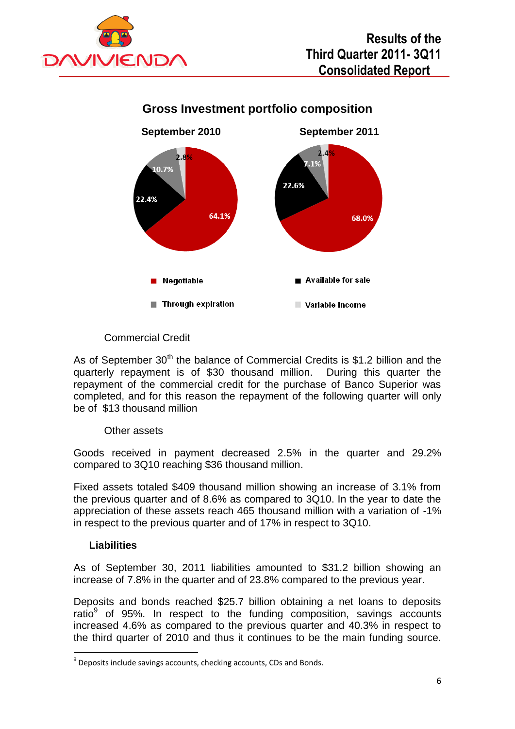



# **Gross Investment portfolio composition**

# Commercial Credit

As of September  $30<sup>th</sup>$  the balance of Commercial Credits is \$1.2 billion and the quarterly repayment is of \$30 thousand million. During this quarter the repayment of the commercial credit for the purchase of Banco Superior was completed, and for this reason the repayment of the following quarter will only be of \$13 thousand million

#### Other assets

Goods received in payment decreased 2.5% in the quarter and 29.2% compared to 3Q10 reaching \$36 thousand million.

Fixed assets totaled \$409 thousand million showing an increase of 3.1% from the previous quarter and of 8.6% as compared to 3Q10. In the year to date the appreciation of these assets reach 465 thousand million with a variation of -1% in respect to the previous quarter and of 17% in respect to 3Q10.

# **Liabilities**

**.** 

As of September 30, 2011 liabilities amounted to \$31.2 billion showing an increase of 7.8% in the quarter and of 23.8% compared to the previous year.

Deposits and bonds reached \$25.7 billion obtaining a net loans to deposits ratio $9$  of 95%. In respect to the funding composition, savings accounts increased 4.6% as compared to the previous quarter and 40.3% in respect to the third quarter of 2010 and thus it continues to be the main funding source.

<sup>&</sup>lt;sup>9</sup> Deposits include savings accounts, checking accounts, CDs and Bonds.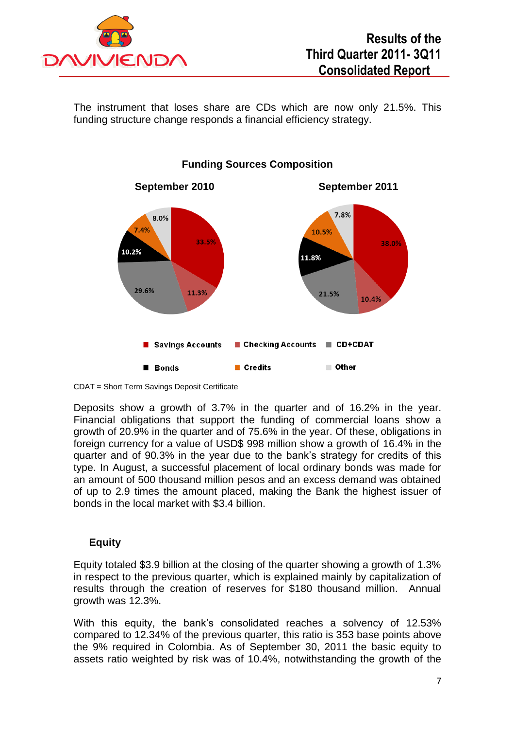

The instrument that loses share are CDs which are now only 21.5%. This funding structure change responds a financial efficiency strategy.



#### **Funding Sources Composition**

CDAT = Short Term Savings Deposit Certificate

Deposits show a growth of 3.7% in the quarter and of 16.2% in the year. Financial obligations that support the funding of commercial loans show a growth of 20.9% in the quarter and of 75.6% in the year. Of these, obligations in foreign currency for a value of USD\$ 998 million show a growth of 16.4% in the quarter and of 90.3% in the year due to the bank's strategy for credits of this type. In August, a successful placement of local ordinary bonds was made for an amount of 500 thousand million pesos and an excess demand was obtained of up to 2.9 times the amount placed, making the Bank the highest issuer of bonds in the local market with \$3.4 billion.

# **Equity**

Equity totaled \$3.9 billion at the closing of the quarter showing a growth of 1.3% in respect to the previous quarter, which is explained mainly by capitalization of results through the creation of reserves for \$180 thousand million. Annual growth was 12.3%.

With this equity, the bank's consolidated reaches a solvency of 12.53% compared to 12.34% of the previous quarter, this ratio is 353 base points above the 9% required in Colombia. As of September 30, 2011 the basic equity to assets ratio weighted by risk was of 10.4%, notwithstanding the growth of the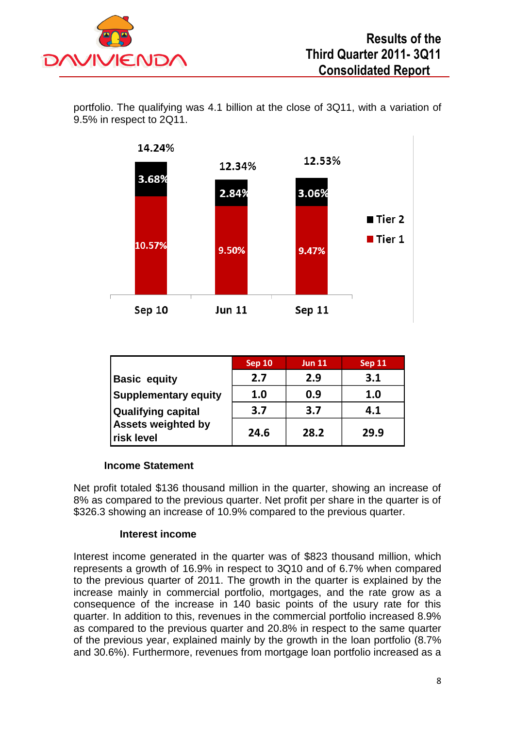

portfolio. The qualifying was 4.1 billion at the close of 3Q11, with a variation of 9.5% in respect to 2Q11.



|                                                | <b>Sep 10</b> | <b>Jun 11</b> | <b>Sep 11</b> |
|------------------------------------------------|---------------|---------------|---------------|
| <b>Basic equity</b>                            | 2.7           | 2.9           | 3.1           |
| <b>Supplementary equity</b>                    | 1.0           | 0.9           | 1.0           |
| <b>Qualifying capital</b>                      | 3.7           | 3.7           | 4.1           |
| <b>Assets weighted by</b><br><b>risk level</b> | 24.6          | 28.2          | 29.9          |

#### **Income Statement**

Net profit totaled \$136 thousand million in the quarter, showing an increase of 8% as compared to the previous quarter. Net profit per share in the quarter is of \$326.3 showing an increase of 10.9% compared to the previous quarter.

#### **Interest income**

Interest income generated in the quarter was of \$823 thousand million, which represents a growth of 16.9% in respect to 3Q10 and of 6.7% when compared to the previous quarter of 2011. The growth in the quarter is explained by the increase mainly in commercial portfolio, mortgages, and the rate grow as a consequence of the increase in 140 basic points of the usury rate for this quarter. In addition to this, revenues in the commercial portfolio increased 8.9% as compared to the previous quarter and 20.8% in respect to the same quarter of the previous year, explained mainly by the growth in the loan portfolio (8.7% and 30.6%). Furthermore, revenues from mortgage loan portfolio increased as a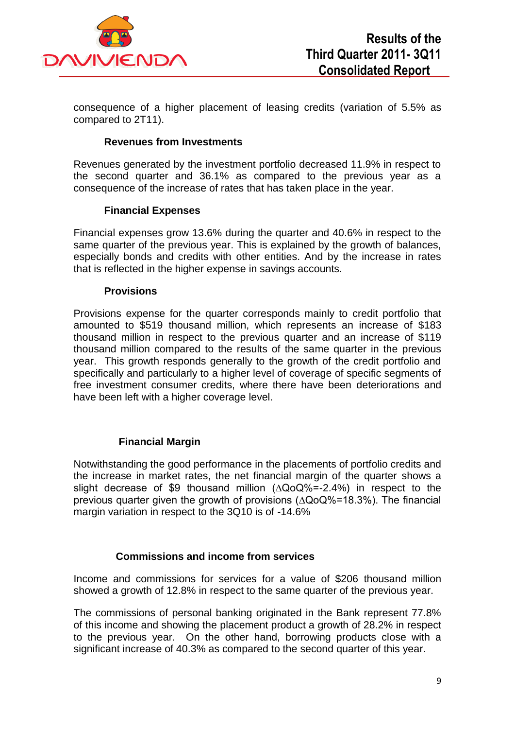

consequence of a higher placement of leasing credits (variation of 5.5% as compared to 2T11).

#### **Revenues from Investments**

Revenues generated by the investment portfolio decreased 11.9% in respect to the second quarter and 36.1% as compared to the previous year as a consequence of the increase of rates that has taken place in the year.

#### **Financial Expenses**

Financial expenses grow 13.6% during the quarter and 40.6% in respect to the same quarter of the previous year. This is explained by the growth of balances, especially bonds and credits with other entities. And by the increase in rates that is reflected in the higher expense in savings accounts.

#### **Provisions**

Provisions expense for the quarter corresponds mainly to credit portfolio that amounted to \$519 thousand million, which represents an increase of \$183 thousand million in respect to the previous quarter and an increase of \$119 thousand million compared to the results of the same quarter in the previous year. This growth responds generally to the growth of the credit portfolio and specifically and particularly to a higher level of coverage of specific segments of free investment consumer credits, where there have been deteriorations and have been left with a higher coverage level.

#### **Financial Margin**

Notwithstanding the good performance in the placements of portfolio credits and the increase in market rates, the net financial margin of the quarter shows a slight decrease of \$9 thousand million (∆QoQ%=-2.4%) in respect to the previous quarter given the growth of provisions (∆QoQ%=18.3%). The financial margin variation in respect to the 3Q10 is of -14.6%

#### **Commissions and income from services**

Income and commissions for services for a value of \$206 thousand million showed a growth of 12.8% in respect to the same quarter of the previous year.

The commissions of personal banking originated in the Bank represent 77.8% of this income and showing the placement product a growth of 28.2% in respect to the previous year. On the other hand, borrowing products close with a significant increase of 40.3% as compared to the second quarter of this year.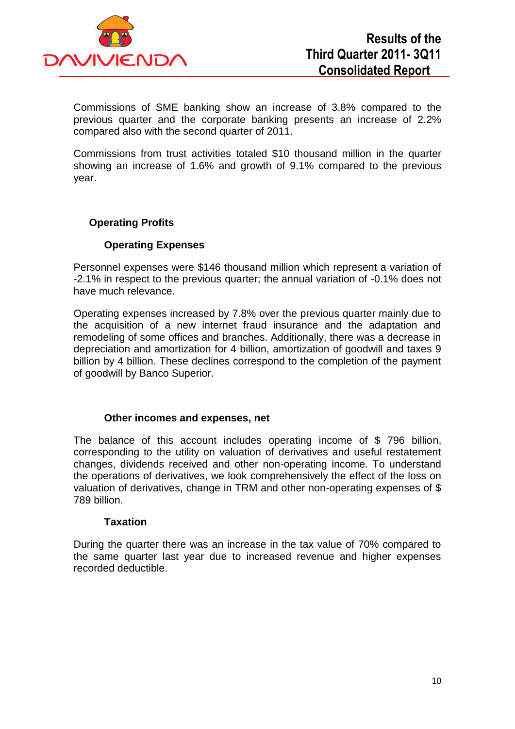

Commissions of SME banking show an increase of 3.8% compared to the previous quarter and the corporate banking presents an increase of 2.2% compared also with the second quarter of 2011.

Commissions from trust activities totaled \$10 thousand million in the quarter showing an increase of 1.6% and growth of 9.1% compared to the previous year.

# **Operating Profits**

#### **Operating Expenses**

Personnel expenses were \$146 thousand million which represent a variation of -2.1% in respect to the previous quarter; the annual variation of -0.1% does not have much relevance.

Operating expenses increased by 7.8% over the previous quarter mainly due to the acquisition of a new internet fraud insurance and the adaptation and remodeling of some offices and branches. Additionally, there was a decrease in depreciation and amortization for 4 billion, amortization of goodwill and taxes 9 billion by 4 billion. These declines correspond to the completion of the payment of goodwill by Banco Superior.

#### **Other incomes and expenses, net**

The balance of this account includes operating income of \$ 796 billion, corresponding to the utility on valuation of derivatives and useful restatement changes, dividends received and other non-operating income. To understand the operations of derivatives, we look comprehensively the effect of the loss on valuation of derivatives, change in TRM and other non-operating expenses of \$ 789 billion.

#### **Taxation**

During the quarter there was an increase in the tax value of 70% compared to the same quarter last year due to increased revenue and higher expenses recorded deductible.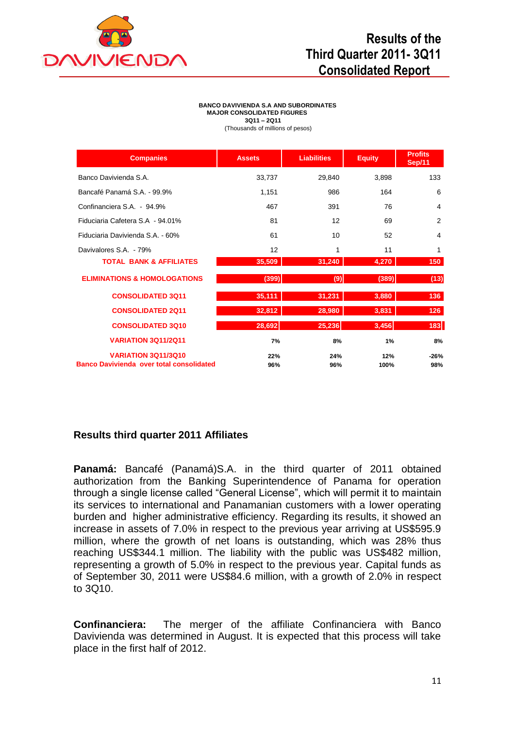

# **Results of the Third Quarter 2011- 3Q11 Consolidated Report**

#### **BANCO DAVIVIENDA S.A AND SUBORDINATES MAJOR CONSOLIDATED FIGURES 3Q11 – 2Q11** (Thousands of millions of pesos)

| <b>Companies</b>                                | <b>Assets</b> | <b>Liabilities</b> | <b>Equity</b> | <b>Profits</b><br>Sep/11 |
|-------------------------------------------------|---------------|--------------------|---------------|--------------------------|
| Banco Davivienda S.A.                           | 33,737        | 29,840             | 3,898         | 133                      |
| Bancafé Panamá S.A. - 99.9%                     | 1,151         | 986                | 164           | 6                        |
| Confinanciera S.A. - 94.9%                      | 467           | 391                | 76            | 4                        |
| Fiduciaria Cafetera S.A - 94.01%                | 81            | 12                 | 69            | 2                        |
| Fiduciaria Davivienda S.A. - 60%                | 61            | 10                 | 52            | 4                        |
| Davivalores S.A. - 79%                          | 12            | 1                  | 11            | 1                        |
| <b>TOTAL BANK &amp; AFFILIATES</b>              | 35,509        | 31,240             | 4,270         | 150                      |
| <b>ELIMINATIONS &amp; HOMOLOGATIONS</b>         | (399)         | (9)                | (389)         | (13)                     |
| <b>CONSOLIDATED 3Q11</b>                        | 35,111        | 31,231             | 3,880         | 136                      |
| <b>CONSOLIDATED 2Q11</b>                        | 32,812        | 28,980             | 3,831         | 126                      |
| <b>CONSOLIDATED 3Q10</b>                        | 28,692        | 25,236             | 3,456         | 183                      |
| <b>VARIATION 3Q11/2Q11</b>                      | 7%            | 8%                 | 1%            | 8%                       |
| <b>VARIATION 3Q11/3Q10</b>                      | 22%           | 24%                | 12%           | $-26%$                   |
| <b>Banco Davivienda over total consolidated</b> | 96%           | 96%                | 100%          | 98%                      |

# **Results third quarter 2011 Affiliates**

**Panamá:** Bancafé (Panamá)S.A. in the third quarter of 2011 obtained authorization from the Banking Superintendence of Panama for operation through a single license called "General License", which will permit it to maintain its services to international and Panamanian customers with a lower operating burden and higher administrative efficiency. Regarding its results, it showed an increase in assets of 7.0% in respect to the previous year arriving at US\$595.9 million, where the growth of net loans is outstanding, which was 28% thus reaching US\$344.1 million. The liability with the public was US\$482 million, representing a growth of 5.0% in respect to the previous year. Capital funds as of September 30, 2011 were US\$84.6 million, with a growth of 2.0% in respect to 3Q10.

**Confinanciera:** The merger of the affiliate Confinanciera with Banco Davivienda was determined in August. It is expected that this process will take place in the first half of 2012.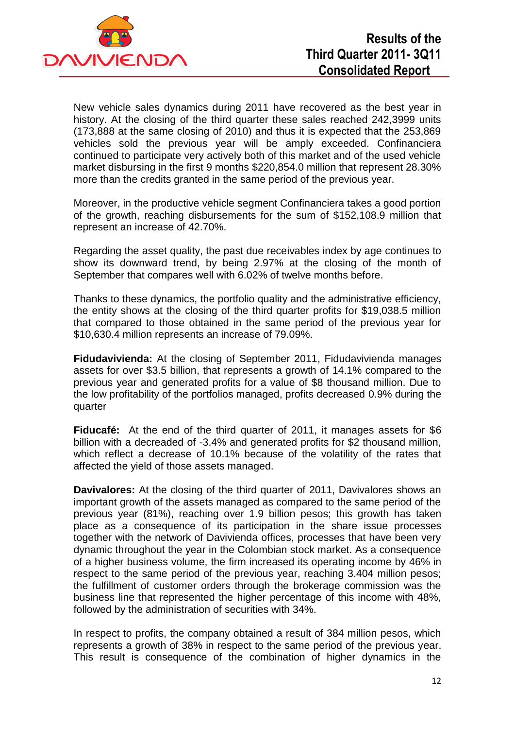

New vehicle sales dynamics during 2011 have recovered as the best year in history. At the closing of the third quarter these sales reached 242,3999 units (173,888 at the same closing of 2010) and thus it is expected that the 253,869 vehicles sold the previous year will be amply exceeded. Confinanciera continued to participate very actively both of this market and of the used vehicle market disbursing in the first 9 months \$220,854.0 million that represent 28.30% more than the credits granted in the same period of the previous year.

Moreover, in the productive vehicle segment Confinanciera takes a good portion of the growth, reaching disbursements for the sum of \$152,108.9 million that represent an increase of 42.70%.

Regarding the asset quality, the past due receivables index by age continues to show its downward trend, by being 2.97% at the closing of the month of September that compares well with 6.02% of twelve months before.

Thanks to these dynamics, the portfolio quality and the administrative efficiency, the entity shows at the closing of the third quarter profits for \$19,038.5 million that compared to those obtained in the same period of the previous year for \$10,630.4 million represents an increase of 79.09%.

**Fidudavivienda:** At the closing of September 2011, Fidudavivienda manages assets for over \$3.5 billion, that represents a growth of 14.1% compared to the previous year and generated profits for a value of \$8 thousand million. Due to the low profitability of the portfolios managed, profits decreased 0.9% during the quarter

**Fiducafé:** At the end of the third quarter of 2011, it manages assets for \$6 billion with a decreaded of -3.4% and generated profits for \$2 thousand million, which reflect a decrease of 10.1% because of the volatility of the rates that affected the yield of those assets managed.

**Davivalores:** At the closing of the third quarter of 2011, Davivalores shows an important growth of the assets managed as compared to the same period of the previous year (81%), reaching over 1.9 billion pesos; this growth has taken place as a consequence of its participation in the share issue processes together with the network of Davivienda offices, processes that have been very dynamic throughout the year in the Colombian stock market. As a consequence of a higher business volume, the firm increased its operating income by 46% in respect to the same period of the previous year, reaching 3.404 million pesos; the fulfillment of customer orders through the brokerage commission was the business line that represented the higher percentage of this income with 48%, followed by the administration of securities with 34%.

In respect to profits, the company obtained a result of 384 million pesos, which represents a growth of 38% in respect to the same period of the previous year. This result is consequence of the combination of higher dynamics in the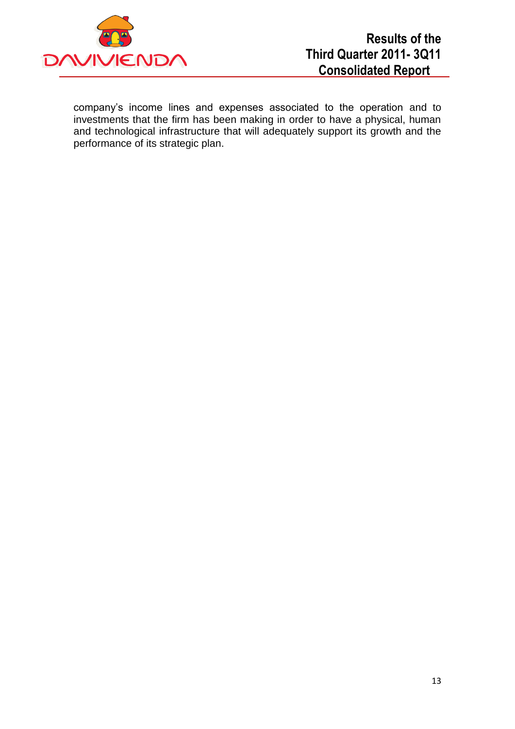

company's income lines and expenses associated to the operation and to investments that the firm has been making in order to have a physical, human and technological infrastructure that will adequately support its growth and the performance of its strategic plan.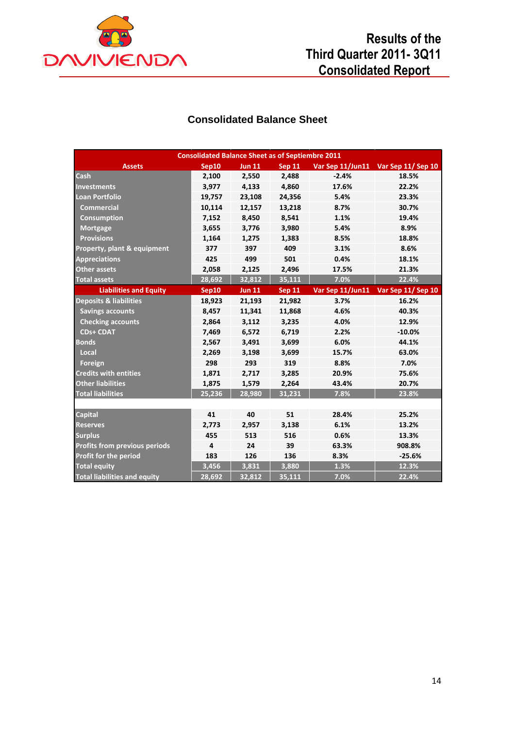

# **Results of the Third Quarter 2011- 3Q11 Consolidated Report**

# **Consolidated Balance Sheet**

| <b>Consolidated Balance Sheet as of Septiembre 2011</b> |        |               |               |                  |                                    |  |  |
|---------------------------------------------------------|--------|---------------|---------------|------------------|------------------------------------|--|--|
| <b>Assets</b>                                           | Sep10  | <b>Jun 11</b> | <b>Sep 11</b> |                  | Var Sep 11/Jun11 Var Sep 11/Sep 10 |  |  |
| Cash                                                    | 2,100  | 2,550         | 2,488         | $-2.4%$          | 18.5%                              |  |  |
| <b>Investments</b>                                      | 3,977  | 4,133         | 4,860         | 17.6%            | 22.2%                              |  |  |
| <b>Loan Portfolio</b>                                   | 19,757 | 23,108        | 24,356        | 5.4%             | 23.3%                              |  |  |
| <b>Commercial</b>                                       | 10,114 | 12,157        | 13,218        | 8.7%             | 30.7%                              |  |  |
| Consumption                                             | 7,152  | 8,450         | 8,541         | 1.1%             | 19.4%                              |  |  |
| <b>Mortgage</b>                                         | 3,655  | 3,776         | 3,980         | 5.4%             | 8.9%                               |  |  |
| <b>Provisions</b>                                       | 1,164  | 1,275         | 1,383         | 8.5%             | 18.8%                              |  |  |
| Property, plant & equipment                             | 377    | 397           | 409           | 3.1%             | 8.6%                               |  |  |
| <b>Appreciations</b>                                    | 425    | 499           | 501           | 0.4%             | 18.1%                              |  |  |
| <b>Other assets</b>                                     | 2,058  | 2,125         | 2,496         | 17.5%            | 21.3%                              |  |  |
| <b>Total assets</b>                                     | 28,692 | 32,812        | 35,111        | 7.0%             | 22.4%                              |  |  |
| <b>Liabilities and Equity</b>                           | Sep10  | <b>Jun 11</b> | <b>Sep 11</b> | Var Sep 11/Jun11 | Var Sep 11/Sep 10                  |  |  |
| <b>Deposits &amp; liabilities</b>                       | 18,923 | 21,193        | 21,982        | 3.7%             | 16.2%                              |  |  |
| <b>Savings accounts</b>                                 | 8,457  | 11,341        | 11,868        | 4.6%             | 40.3%                              |  |  |
| <b>Checking accounts</b>                                | 2,864  | 3,112         | 3,235         | 4.0%             | 12.9%                              |  |  |
| <b>CDs+ CDAT</b>                                        | 7,469  | 6,572         | 6,719         | 2.2%             | $-10.0%$                           |  |  |
| <b>Bonds</b>                                            | 2,567  | 3,491         | 3,699         | 6.0%             | 44.1%                              |  |  |
| Local                                                   | 2,269  | 3,198         | 3,699         | 15.7%            | 63.0%                              |  |  |
| Foreign                                                 | 298    | 293           | 319           | 8.8%             | 7.0%                               |  |  |
| <b>Credits with entities</b>                            | 1,871  | 2,717         | 3,285         | 20.9%            | 75.6%                              |  |  |
| <b>Other liabilities</b>                                | 1,875  | 1,579         | 2,264         | 43.4%            | 20.7%                              |  |  |
| <b>Total liabilities</b>                                | 25,236 | 28,980        | 31,231        | 7.8%             | 23.8%                              |  |  |
|                                                         |        |               |               |                  |                                    |  |  |
| <b>Capital</b>                                          | 41     | 40            | 51            | 28.4%            | 25.2%                              |  |  |
| <b>Reserves</b>                                         | 2,773  | 2,957         | 3,138         | 6.1%             | 13.2%                              |  |  |
| <b>Surplus</b>                                          | 455    | 513           | 516           | 0.6%             | 13.3%                              |  |  |
| <b>Profits from previous periods</b>                    | 4      | 24            | 39            | 63.3%            | 908.8%                             |  |  |
| <b>Profit for the period</b>                            | 183    | 126           | 136           | 8.3%             | $-25.6%$                           |  |  |
| <b>Total equity</b>                                     | 3,456  | 3,831         | 3,880         | 1.3%             | 12.3%                              |  |  |
| <b>Total liabilities and equity</b>                     | 28,692 | 32.812        | 35.111        | 7.0%             | 22.4%                              |  |  |